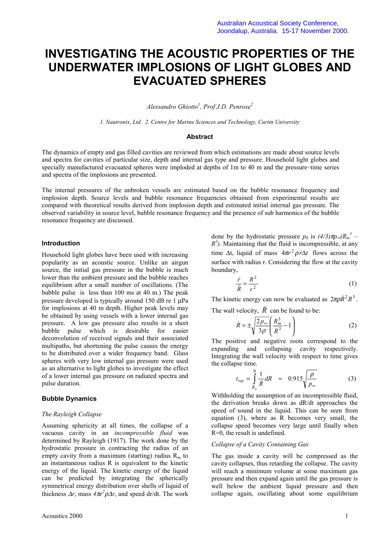# **INVESTIGATING THE ACOUSTIC PROPERTIES OF THE UNDERWATER IMPLOSIONS OF LIGHT GLOBES AND EVACUATED SPHERES**

*Alessandro Ghiotto<sup>1</sup> , Prof J.D. Penrose2*

*1. Nautronix, Ltd. 2. Centre for Marine Sciences and Technology, Curtin University*

### **Abstract**

The dynamics of empty and gas filled cavities are reviewed from which estimations are made about source levels and spectra for cavities of particular size, depth and internal gas type and pressure. Household light globes and specially manufactured evacuated spheres were imploded at depths of 1m to 40 m and the pressure–time series and spectra of the implosions are presented.

The internal pressures of the unbroken vessels are estimated based on the bubble resonance frequency and implosion depth. Source levels and bubble resonance frequencies obtained from experimental results are compared with theoretical results derived from implosion depth and estimated initial internal gas pressure. The observed variability in source level, bubble resonance frequency and the presence of sub harmonics of the bubble resonance frequency are discussed.

### **Introduction**

Household light globes have been used with increasing popularity as an acoustic source. Unlike an airgun source, the initial gas pressure in the bubble is much lower than the ambient pressure and the bubble reaches equilibrium after a small number of oscillations. (The bubble pulse is less than 100 ms at 40 m.) The peak pressure developed is typically around 150 dB re 1 µPa for implosions at 40 m depth. Higher peak levels may be obtained by using vessels with a lower internal gas pressure. A low gas pressure also results in a short bubble pulse which is desirable for easier deconvolution of received signals and their associated multipaths, but shortening the pulse causes the energy to be distributed over a wider frequency band. Glass spheres with very low internal gas pressure were used as an alternative to light globes to investigate the effect of a lower internal gas pressure on radiated spectra and pulse duration.

#### **Bubble Dynamics**

### *The Rayleigh Collapse*

Assuming sphericity at all times, the collapse of a vacuous cavity in an *incompressible fluid* was determined by Rayleigh (1917). The work done by the hydrostatic pressure in contracting the radius of an empty cavity from a maximum (starting) radius  $R<sub>m</sub>$  to an instantaneous radius R is equivalent to the kinetic energy of the liquid. The kinetic energy of the liquid can be predicted by integrating the spherically symmetrical energy distribution over shells of liquid of thickness  $\Delta r$ , mass  $4\pi r^2 \rho \Delta r$ , and speed dr/dt. The work

done by the hydrostatic pressure  $p_0$  is  $(4/3)\pi p_{\infty}(R_m^3 R<sup>3</sup>$ ). Maintaining that the fluid is incompressible, at any time  $\Delta t$ , liquid of mass  $4\pi r^2 \rho \dot{r} \Delta t$  flows across the surface with radius r. Considering the flow at the cavity boundary,

$$
\frac{\dot{r}}{\dot{R}} = \frac{R^2}{r^2} \tag{1}
$$

The kinetic energy can now be evaluated as  $2\pi \rho \dot{R}^2 R^3$ .

The wall velocity,  $\hat{R}$  can be found to be:

$$
\dot{R} = \pm \sqrt{\frac{2p_{\infty}}{3\rho}} \left(\frac{R_m^3}{R^3} - 1\right)
$$
 (2)

The positive and negative roots correspond to the expanding and collapsing cavity respectively. Integrating the wall velocity with respect to time gives the collapse time.

$$
t_{ray} = \int_{R_m}^{0} \frac{1}{R} dR \approx 0.915 \sqrt{\frac{\rho}{p_{\infty}}}
$$
 (3)

Withholding the assumption of an incompressible fluid, the derivation breaks down as dR/dt approaches the speed of sound in the liquid. This can be seen from equation (3), where as R becomes very small, the collapse speed becomes very large until finally when R=0, the result is undefined.

#### *Collapse of a Cavity Containing Gas*

The gas inside a cavity will be compressed as the cavity collapses, thus retarding the collapse. The cavity will reach a minimum volume at some maximum gas pressure and then expand again until the gas pressure is well below the ambient liquid pressure and then collapse again, oscillating about some equilibrium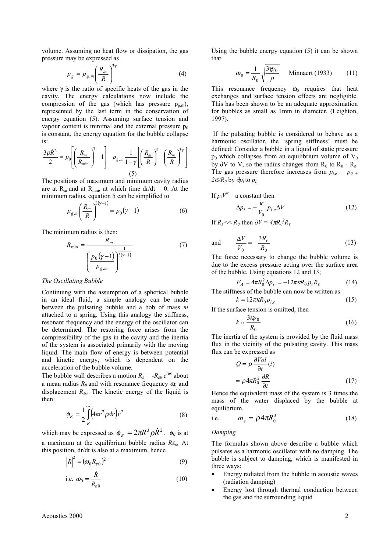volume. Assuming no heat flow or dissipation, the gas pressure may be expressed as

$$
p_g = p_{g,m} \left(\frac{R_m}{R}\right)^{3\gamma} \tag{4}
$$

where  $\gamma$  is the ratio of specific heats of the gas in the cavity. The energy calculations now include the compression of the gas (which has pressure  $p_{g,m}$ ), represented by the last term in the conservation of energy equation (5). Assuming surface tension and vapour content is minimal and the external pressure  $p_0$ is constant, the energy equation for the bubble collapse is:

$$
\frac{3\rho \dot{R}^2}{2} = p_0 \left[ \left( \frac{R_m}{R_{\text{min}}} \right)^3 - 1 \right] - p_{g,m} \frac{1}{1 - \gamma} \left[ \left( \frac{R_m}{R} \right)^3 - \left( \frac{R_m}{R} \right)^3 \right]
$$
\n
$$
(5)
$$

The positions of maximum and minimum cavity radius are at R<sub>m</sub> and at R<sub>min</sub>, at which time dr/dt = 0. At the minimum radius, equation 5 can be simplified to

$$
p_{g,m} \left(\frac{R_m}{R}\right)^{3(\gamma-1)} = p_0(\gamma - 1) \tag{6}
$$

The minimum radius is then:

$$
R_{\min} = \frac{R_m}{\left(\frac{p_0(\gamma - 1)}{p_{g,m}}\right)^{\frac{1}{3(\gamma - 1)}}}
$$
(7)

#### *The Oscillating Bubble*

Continuing with the assumption of a spherical bubble in an ideal fluid, a simple analogy can be made between the pulsating bubble and a bob of mass *m* attached to a spring. Using this analogy the stiffness, resonant frequency and the energy of the oscillator can be determined. The restoring force arises from the compressibility of the gas in the cavity and the inertia of the system is associated primarily with the moving liquid. The main flow of energy is between potential and kinetic energy, which is dependent on the acceleration of the bubble volume.

The bubble wall describes a motion  $R_{\varepsilon} = -R_{\varepsilon 0} e^{i\omega t}$  about a mean radius  $R_0$  and with resonance frequency  $\omega_0$  and displacement  $R_{\varepsilon 0}$ . The kinetic energy of the liquid is then:

$$
\phi_K = \frac{1}{2} \int\limits_R^\infty \left( 4\pi r^2 \rho dr \right) r^2 \tag{8}
$$

which may be expressed as  $\phi_K = 2\pi R^3 \rho \dot{R}^2$ .  $\phi_K$  is at a maximum at the equilibrium bubble radius *R*ε*0,* At this position, dr/dt is also at a maximum, hence

$$
\left|\dot{R}\right|^2 = \left(\omega_0 R_{\varepsilon 0}\right)^2\tag{9}
$$

i.e. 
$$
\omega_0 = \frac{\dot{R}}{R_{\varepsilon 0}}
$$
 (10)

Using the bubble energy equation (5) it can be shown that

$$
\omega_0 = \frac{1}{R_0} \sqrt{\frac{3\gamma \rho_0}{\rho}}
$$
 Minnaert (1933) (11)

This resonance frequency  $\omega_0$  requires that heat exchanges and surface tension effects are negligible. This has been shown to be an adequate approximation for bubbles as small as 1mm in diameter. (Leighton, 1997).

 If the pulsating bubble is considered to behave as a harmonic oscillator, the 'spring stiffness' must be defined: Consider a bubble in a liquid of static pressure  $p_0$  which collapses from an equilibrium volume of  $V_0$ by ∂V to V, so the radius changes from  $R_0$  to  $R_0$  -  $R_{\varepsilon}$ . The gas pressure therefore increases from  $p_{i,e} = p_{0+}$ *2*σ*/R0* by ∂*pi* to *pi.*

If 
$$
p_i V^k = \text{a constant then}
$$
  
\n
$$
\Delta p_i = -\frac{\kappa}{V_0} p_{i,e} \Delta V
$$
\n(12)

If 
$$
R_{\varepsilon} \ll R_0
$$
 then  $\partial V = 4\pi R_0^2 R_{\varepsilon}$ 

and 
$$
\frac{\Delta V}{V_0} = -\frac{3R_{\varepsilon}}{R_0}
$$
 (13)

The force necessary to change the bubble volume is due to the excess pressure acting over the surface area of the bubble. Using equations 12 and 13;

$$
F_A = 4\pi R_0^2 \Delta p_i = -12\pi \kappa R_0 p_i R_\varepsilon \tag{14}
$$

The stiffness of the bubble can now be written as

$$
k = 12\pi\kappa R_0 p_{i,e}
$$
 (15)

If the surface tension is omitted, then

$$
k \approx \frac{3\kappa p_0}{R_0} \tag{16}
$$

The inertia of the system is provided by the fluid mass flux in the vicinity of the pulsating cavity. This mass flux can be expressed as

$$
Q = \rho \frac{\partial Vol}{\partial t}(t)
$$
  
=  $\rho 4\pi R_0^2 \frac{\partial R}{\partial t}$  (17)

Hence the equivalent mass of the system is 3 times the mass of the water displaced by the bubble at equilibrium.

i.e. 
$$
m_e = \rho 4\pi R_0^3 \tag{18}
$$

#### *Damping*

The formulas shown above describe a bubble which pulsates as a harmonic oscillator with no damping. The bubble is subject to damping, which is manifested in three ways:

- Energy radiated from the bubble in acoustic waves (radiation damping)
- Energy lost through thermal conduction between the gas and the surrounding liquid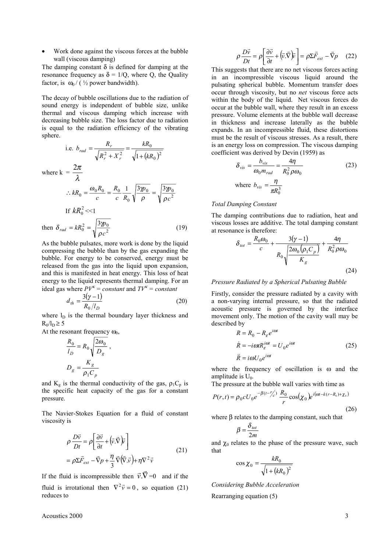• Work done against the viscous forces at the bubble wall (viscous damping)

The damping constant  $\delta$  is defined for damping at the resonance frequency as  $\delta = 1/Q$ , where Q, the Quality factor, is  $\omega_0 / (1/2)$  power bandwidth).

The decay of bubble oscillations due to the radiation of sound energy is independent of bubble size, unlike thermal and viscous damping which increase with decreasing bubble size. The loss factor due to radiation is equal to the radiation efficiency of the vibrating sphere. *kR*

i.e. 
$$
b_{rad} = \frac{R_r}{\sqrt{R_r^2 + X_r^2}} = \frac{kR_0}{\sqrt{1 + (kR_0)^2}}
$$
  
\nwhere  $\mathbf{k} = \frac{2\pi}{\lambda}$   
\n $\therefore kR_0 = \frac{\omega_0 R_0}{c} = \frac{R_0}{c} \frac{1}{R_0} \sqrt{\frac{3\gamma \rho_0}{\rho}} = \sqrt{\frac{3\gamma \rho_0}{\rho c^2}}$   
\nIf  $kR_0^2 \ll 1$   
\nthen  $\delta_{rad} = kR_0^2 = \sqrt{\frac{3\gamma \rho_0}{\rho c^2}}$  (19)

As the bubble pulsates, more work is done by the liquid compressing the bubble than by the gas expanding the bubble. For energy to be conserved, energy must be released from the gas into the liquid upon expansion, and this is manifested in heat energy. This loss of heat energy to the liquid represents thermal damping. For an ideal gas where  $PV^k = constant$  and  $TV^k = constant$ 

$$
d_{th} = \frac{3(\gamma - 1)}{R_0 / l_D} \tag{20}
$$

where  $l_{\rm D}$  is the thermal boundary layer thickness and  $R_0/I_D \geq 5$ 

At the resonant frequency  $\omega_0$ ,

$$
\frac{R_0}{l_D} = R_0 \sqrt{\frac{2\omega_0}{D_g}},
$$

$$
D_g = \frac{K_g}{\rho_1 C_p}
$$

and  $K_g$  is the thermal conductivity of the gas,  $\rho_1 C_p$  is the specific heat capacity of the gas for a constant pressure.

The Navier-Stokes Equation for a fluid of constant viscosity is

$$
\rho \frac{D\vec{v}}{Dt} = \rho \left[ \frac{\partial \vec{v}}{\partial t} + (\vec{v} \cdot \vec{\nabla}) \vec{v} \right]
$$
  
=  $\rho \Sigma \vec{F}_{ext} - \vec{\nabla} p + \frac{\eta}{3} \vec{\nabla} (\vec{\nabla} \cdot \vec{v}) + \eta \nabla^2 \vec{v}$  (21)

If the fluid is incompressible then  $\vec{v} \cdot \vec{\nabla} = 0$  and if the fluid is irrotational then  $\nabla^2 \vec{v} = 0$ , so equation (21) reduces to

$$
\rho \frac{D\vec{v}}{Dt} = \rho \left[ \frac{\partial \vec{v}}{\partial t} + (\vec{v} \cdot \vec{\nabla}) \vec{v} \right] = \rho \Sigma \vec{F}_{ext} - \vec{\nabla} p \quad (22)
$$

This suggests that there are no net viscous forces acting in an incompressible viscous liquid around the pulsating spherical bubble. Momentum transfer does occur through viscosity, but no *net* viscous force acts within the body of the liquid. Net viscous forces do occur at the bubble wall, where they result in an excess pressure. Volume elements at the bubble wall decrease in thickness and increase laterally as the bubble expands. In an incompressible fluid, these distortions must be the result of viscous stresses. As a result, there is an energy loss on compression. The viscous damping coefficient was derived by Devin (1959) as

$$
\delta_{vis} = \frac{b_{vis}}{\omega_0 m_{rad}} = \frac{4\eta}{R_0^2 \rho \omega_0}
$$
\nwhere  $b_{vis} = \frac{\eta}{\pi R_0^3}$ 

\n(23)

### *Total Damping Constant*

The damping contributions due to radiation, heat and viscous losses are additive. The total damping constant at resonance is therefore:

$$
\delta_{tot} = \frac{R_0 \omega_0}{c} + \frac{3(\gamma - 1)}{R_0 \sqrt{\frac{2\omega_0 (\rho_1 C_p)}{K_g}}} + \frac{4\eta}{R_0^2 \rho \omega_0}
$$
\n(24)

## *Pressure Radiated by a Spherical Pulsating Bubble*

Firstly, consider the pressure radiated by a cavity with a non-varying internal pressure, so that the radiated acoustic pressure is governed by the interface movement only. The motion of the cavity wall may be described by

$$
R = R_0 - R_{\varepsilon} e^{i\omega t}
$$
  
\n
$$
\dot{R} = -i\omega t R_{\varepsilon}^{i\omega t} = U_0 e^{i\omega t}
$$
  
\n
$$
\ddot{R} = i\omega U_0 e^{i\omega t}
$$
\n(25)

where the frequency of oscillation is  $\omega$  and the amplitude is  $U_0$ .

The pressure at the bubble wall varies with time as

$$
P(r,t) = \rho_0 c U_0 e^{-\beta(t - r'_c)} \frac{R_0}{r} \cos(\chi_0) e^{i(\omega t - k(r - R_0) + \chi_0)}
$$
(26)

where β relates to the damping constant, such that

$$
\beta = \frac{\delta_{tot}}{2m}
$$

and  $\chi_0$  relates to the phase of the pressure wave, such that

$$
\cos \chi_0 = \frac{kR_0}{\sqrt{1 + (kR_0)^2}}
$$

*Considering Bubble Acceleration*

Rearranging equation (5)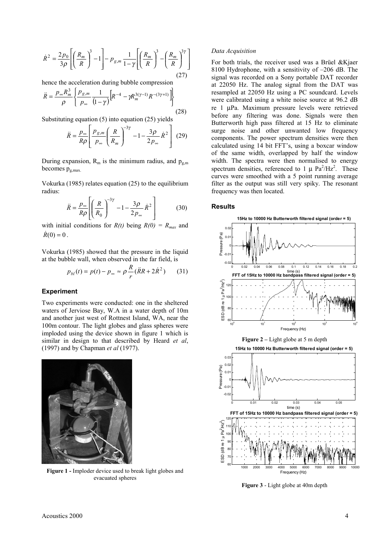$$
\dot{R}^{2} = \frac{2 p_{0}}{3 \rho} \left[ \left( \frac{R_{m}}{R} \right)^{3} - 1 \right] - p_{g,m} \frac{1}{1 - \gamma} \left[ \left( \frac{R_{m}}{R} \right)^{3} - \left( \frac{R_{m}}{R} \right)^{3 \gamma} \right]
$$
\n(27)

hence the acceleration during bubble compression

$$
\ddot{R} = \frac{p_{\infty}R_m^3}{\rho} \left\{ \frac{p_{g,m}}{p_{\infty}} \frac{1}{(1-\gamma)} \left[ R^{-4} - \gamma R_m^{3(\gamma-1)} R^{-(3\gamma+1)} \right] \right\}
$$
(28)

Substituting equation (5) into equation (25) yields

$$
\ddot{R} = \frac{p_{\infty}}{R\rho} \left[ \frac{p_{g,m}}{p_{\infty}} \left( \frac{R}{R_m} \right)^{-3\gamma} - 1 - \frac{3\rho}{2p_{\infty}} \dot{R}^2 \right] (29)
$$

During expansion,  $R_m$  is the minimum radius, and  $p_{g,m}$ becomes  $p_{g,max}$ 

Vokurka (1985) relates equation (25) to the equilibrium radius:

$$
\ddot{R} = \frac{p_{\infty}}{R\rho} \left[ \left( \frac{R}{R_0} \right)^{-3\gamma} - 1 - \frac{3\rho}{2p_{\infty}} \dot{R}^2 \right]
$$
(30)

with initial conditions for  $R(t)$  being  $R(0) = R_{max}$  and  $\dot{R}(0) = 0$ .

Vokurka (1985) showed that the pressure in the liquid at the bubble wall, when observed in the far field, is

$$
p_{bl}(t) = p(t) - p_{\infty} \approx \rho \frac{R}{r} (\ddot{R}R + 2\dot{R}^2)
$$
 (31)

## **Experiment**

Two experiments were conducted: one in the sheltered waters of Jerviose Bay, W.A in a water depth of 10m and another just west of Rottnest Island, WA, near the 100m contour. The light globes and glass spheres were imploded using the device shown in figure 1 which is similar in design to that described by Heard *et al*, (1997) and by Chapman *et al* (1977).



**Figure 1 -** Imploder device used to break light globes and evacuated spheres

#### *Data Acquisition*

For both trials, the receiver used was a Brüel &Kjaer 8100 Hydrophone, with a sensitivity of –206 dB. The signal was recorded on a Sony portable DAT recorder at 22050 Hz. The analog signal from the DAT was resampled at 22050 Hz using a PC soundcard. Levels were calibrated using a white noise source at 96.2 dB re 1 µPa. Maximum pressure levels were retrieved before any filtering was done. Signals were then Butterworth high pass filtered at 15 Hz to eliminate surge noise and other unwanted low frequency components. The power spectrum densities were then calculated using 14 bit FFT's, using a boxcar window of the same width, overlapped by half the window width. The spectra were then normalised to energy spectrum densities, referenced to 1  $\mu$  Pa<sup>2</sup>/Hz<sup>2</sup>. These curves were smoothed with a 5 point running average filter as the output was still very spiky. The resonant frequency was then located.

#### **Results**



**Figure 3** - Light globe at 40m depth

<sup>1000</sup> <sup>2000</sup> <sup>3000</sup> <sup>4000</sup> <sup>5000</sup> <sup>6000</sup> <sup>7000</sup> <sup>8000</sup> <sup>9000</sup> <sup>10000</sup> <sup>60</sup>

Frequency (Hz)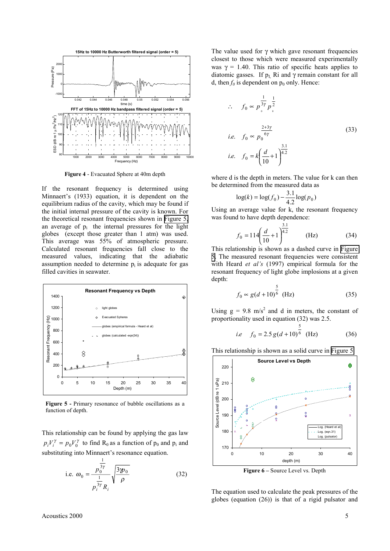

**Figure 4** - Evacuated Sphere at 40m depth

If the resonant frequency is determined using Minnaert's (1933) equation, it is dependent on the equilibrium radius of the cavity, which may be found if the initial internal pressure of the cavity is known. For the theoretical resonant frequencies shown in Figure 5, an average of  $p_i$  the internal pressures for the light globes (except those greater than 1 atm) was used. This average was 55% of atmospheric pressure. Calculated resonant frequencies fall close to the measured values, indicating that the adiabatic assumption needed to determine  $p_i$  is adequate for gas filled cavities in seawater.



**Figure 5 -** Primary resonance of bubble oscillations as a function of depth.

This relationship can be found by applying the gas law  $p_i V_i^{\gamma} = p_0 V_0^{\gamma}$  to find R<sub>0</sub> as a function of  $p_0$  and  $p_i$  and substituting into Minnaert's resonance equation.

i.e. 
$$
\omega_0 = \frac{p_0^{\frac{1}{3\gamma}}}{p_i^{\frac{1}{3\gamma}} R_i} \sqrt{\frac{3\gamma p_0}{\rho}}
$$
 (32)

The value used for  $\gamma$  which gave resonant frequencies closest to those which were measured experimentally was  $\gamma = 1.40$ . This ratio of specific heats applies to diatomic gasses. If  $p_1$  Ri and  $\gamma$  remain constant for all d, then  $f_0$  is dependent on  $p_0$  only. Hence:

$$
\therefore f_0 \propto p_0^{\frac{1}{3\gamma}} p_0^{\frac{1}{2}}
$$
  
*i.e.*  $f_0 \propto p_0^{\frac{2+3\gamma}{6\gamma}}$  (33)  
*i.e.*  $f_0 = k \left(\frac{d}{10} + 1\right)^{\frac{3.1}{4.2}}$ 

where d is the depth in meters. The value for k can then be determined from the measured data as

$$
\log(k) = \log(f_0) - \frac{3.1}{4.2} \log(p_0)
$$

Using an average value for k, the resonant frequency was found to have depth dependence:

$$
f_0 = 114 \left(\frac{d}{10} + 1\right)^{\frac{3.1}{4.2}} \qquad \text{(Hz)} \tag{34}
$$

This relationship is shown as a dashed curve in Figure 5. The measured resonant frequencies were consistent with Heard *et al's* (1997) empirical formula for the resonant frequency of light globe implosions at a given depth:

$$
f_0 \propto g(d+10)^{\frac{5}{6}}
$$
 (Hz) (35)

Using  $g = 9.8$  m/s<sup>2</sup> and d in meters, the constant of proportionality used in equation (32) was 2.5.

i.e 
$$
f_0 = 2.5 g(d+10)^{\frac{5}{6}}
$$
 (Hz) (36)

This relationship is shown as a solid curve in Figure 5.



The equation used to calculate the peak pressures of the globes (equation (26)) is that of a rigid pulsator and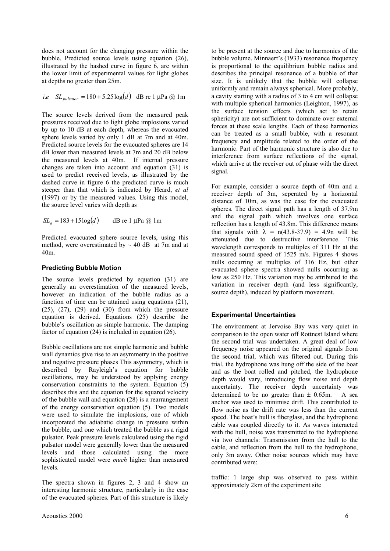does not account for the changing pressure within the bubble. Predicted source levels using equation (26), illustrated by the hashed curve in figure 6, are within the lower limit of experimental values for light globes at depths no greater than 25m.

*i.e* 
$$
SL_{pulsator} = 180 + 5.25 \log(d)
$$
 dB re 1 µPa @ 1m

The source levels derived from the measured peak pressures received due to light globe implosions varied by up to 10 dB at each depth, whereas the evacuated sphere levels varied by only 1 dB at 7m and at 40m. Predicted source levels for the evacuated spheres are 14 dB lower than measured levels at 7m and 20 dB below the measured levels at 40m. If internal pressure changes are taken into account and equation (31) is used to predict received levels, as illustrated by the dashed curve in figure 6 the predicted curve is much steeper than that which is indicated by Heard, *et al* (1997) or by the measured values. Using this model, the source level varies with depth as

$$
SL_a = 183 + 15 \log(d) \qquad \text{dB re 1 } \mu \text{Pa} \text{ @ } 1 \text{m}
$$

Predicted evacuated sphere source levels, using this method, were overestimated by  $\sim$  40 dB at 7m and at 40m.

## **Predicting Bubble Motion**

The source levels predicted by equation (31) are generally an overestimation of the measured levels, however an indication of the bubble radius as a function of time can be attained using equations (21), (25), (27), (29) and (30) from which the pressure equation is derived. Equations (25) describe the bubble's oscillation as simple harmonic. The damping factor of equation (24) is included in equation (26).

Bubble oscillations are not simple harmonic and bubble wall dynamics give rise to an asymmetry in the positive and negative pressure phases This asymmetry, which is described by Rayleigh's equation for bubble oscillations, may be understood by applying energy conservation constraints to the system. Equation (5) describes this and the equation for the squared velocity of the bubble wall and equation (28) is a rearrangement of the energy conservation equation (5). Two models were used to simulate the implosions, one of which incorporated the adiabatic change in pressure within the bubble, and one which treated the bubble as a rigid pulsator. Peak pressure levels calculated using the rigid pulsator model were generally lower than the measured levels and those calculated using the more sophisticated model were *much* higher than measured levels.

The spectra shown in figures 2, 3 and 4 show an interesting harmonic structure, particularly in the case of the evacuated spheres. Part of this structure is likely

to be present at the source and due to harmonics of the bubble volume. Minnaert's (1933) resonance frequency is proportional to the equilibrium bubble radius and describes the principal resonance of a bubble of that size. It is unlikely that the bubble will collapse uniformly and remain always spherical. More probably, a cavity starting with a radius of 3 to 4 cm will collapse with multiple spherical harmonics (Leighton, 1997), as the surface tension effects (which act to retain sphericity) are not sufficient to dominate over external forces at these scale lengths. Each of these harmonics can be treated as a small bubble, with a resonant frequency and amplitude related to the order of the harmonic. Part of the harmonic structure is also due to interference from surface reflections of the signal, which arrive at the receiver out of phase with the direct signal.

For example, consider a source depth of 40m and a receiver depth of 3m, seperated by a horizontal distance of 10m, as was the case for the evacuated spheres. The direct signal path has a length of 37.9m and the signal path which involves one surface reflection has a length of 43.8m. This difference means that signals with  $\lambda = n(43.8-37.9) = 4.9n$  will be attenuated due to destructive interference. This wavelength corresponds to multiples of 311 Hz at the measured sound speed of 1525 m/s. Figures 4 shows nulls occurring at multiples of 316 Hz, but other evacuated sphere spectra showed nulls occurring as low as 250 Hz. This variation may be attributed to the variation in receiver depth (and less significantly, source depth), induced by platform movement.

# **Experimental Uncertainties**

The environment at Jervoise Bay was very quiet in comparison to the open water off Rottnest Island where the second trial was undertaken. A great deal of low frequency noise appeared on the original signals from the second trial, which was filtered out. During this trial, the hydrophone was hung off the side of the boat and as the boat rolled and pitched, the hydrophone depth would vary, introducing flow noise and depth uncertainty. The receiver depth uncertainty was determined to be no greater than  $\pm$  0.65m. A sea anchor was used to minimise drift. This contributed to flow noise as the drift rate was less than the current speed. The boat's hull is fiberglass, and the hydrophone cable was coupled directly to it. As waves interacted with the hull, noise was transmitted to the hydrophone via two channels: Transmission from the hull to the cable, and reflection from the hull to the hydrophone, only 3m away. Other noise sources which may have contributed were:

traffic: 1 large ship was observed to pass within approximately 2km of the experiment site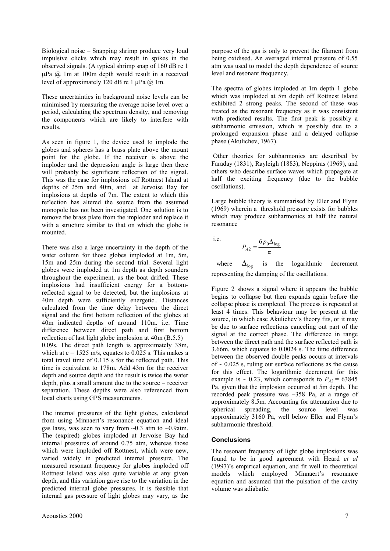Biological noise – Snapping shrimp produce very loud impulsive clicks which may result in spikes in the observed signals. (A typical shrimp snap of 160 dB re 1  $\mu$ Pa  $\omega$  1m at 100m depth would result in a received level of approximately 120 dB re 1 µPa @ 1m.

These uncertainties in background noise levels can be minimised by measuring the average noise level over a period, calculating the spectrum density, and removing the components which are likely to interfere with results.

As seen in figure 1, the device used to implode the globes and spheres has a brass plate above the mount point for the globe. If the receiver is above the imploder and the depression angle is large then there will probably be significant reflection of the signal. This was the case for implosions off Rottnest Island at depths of 25m and 40m, and at Jervoise Bay for implosions at depths of 7m. The extent to which this reflection has altered the source from the assumed monopole has not been investigated. One solution is to remove the brass plate from the imploder and replace it with a structure similar to that on which the globe is mounted.

There was also a large uncertainty in the depth of the water column for those globes imploded at 1m, 5m, 15m and 25m during the second trial. Several light globes were imploded at 1m depth as depth sounders throughout the experiment, as the boat drifted. These implosions had insufficient energy for a bottomreflected signal to be detected, but the implosions at 40m depth were sufficiently energetic.. Distances calculated from the time delay between the direct signal and the first bottom reflection of the globes at 40m indicated depths of around 110m. i.e. Time difference between direct path and first bottom reflection of last light globe implosion at  $40m$  (B.5.5) = 0.09s. The direct path length is approximately 38m, which at  $c = 1525$  m/s, equates to 0.025 s. This makes a total travel time of 0.115 s for the reflected path. This time is equivalent to 178m. Add 43m for the receiver depth and source depth and the result is twice the water depth, plus a small amount due to the source – receiver separation. These depths were also referenced from local charts using GPS measurements.

The internal pressures of the light globes, calculated from using Minnaert's resonance equation and ideal gas laws, was seen to vary from  $\sim 0.3$  atm to  $\sim 0.9$ atm. The (expired) globes imploded at Jervoise Bay had internal pressures of around 0.75 atm, whereas those which were imploded off Rottnest, which were new, varied widely in predicted internal pressure. The measured resonant frequency for globes imploded off Rottnest Island was also quite variable at any given depth, and this variation gave rise to the variation in the predicted internal globe pressures. It is feasible that internal gas pressure of light globes may vary, as the

purpose of the gas is only to prevent the filament from being oxidised. An averaged internal pressure of 0.55 atm was used to model the depth dependence of source level and resonant frequency.

The spectra of globes imploded at 1m depth 1 globe which was imploded at 5m depth off Rottnest Island exhibited 2 strong peaks. The second of these was treated as the resonant frequency as it was consistent with predicted results. The first peak is possibly a subharmonic emission, which is possibly due to a prolonged expansion phase and a delayed collapse phase (Akulichev, 1967).

 Other theories for subharmonics are described by Faraday (1831), Rayleigh (1883), Neppiras (1969), and others who describe surface waves which propagate at half the exciting frequency (due to the bubble oscillations).

Large bubble theory is summarised by Eller and Flynn (1969) wherein a threshold pressure exists for bubbles which may produce subharmonics at half the natural resonance

i.e.

$$
P_{A2} = \frac{6p_0\Delta_{\log}}{\pi}
$$

where  $\Delta_{\text{log}}$  is the logarithmic decrement representing the damping of the oscillations.

Figure 2 shows a signal where it appears the bubble begins to collapse but then expands again before the collapse phase is completed. The process is repeated at least 4 times. This behaviour may be present at the source, in which case Akulichev's theory fits, or it may be due to surface reflections canceling out part of the signal at the correct phase. The difference in range between the direct path and the surface reflected path is 3.66m, which equates to 0.0024 s. The time difference between the observed double peaks occurs at intervals of  $\sim 0.025$  s, ruling out surface reflections as the cause for this effect. The logarithmic decrement for this example is  $\sim 0.23$ , which corresponds to  $P_{A2} = 63845$ Pa, given that the implosion occurred at 5m depth. The recorded peak pressure was –358 Pa, at a range of approximately 8.5m. Accounting for attenuation due to spherical spreading, the source level was approximately 3160 Pa, well below Eller and Flynn's subharmonic threshold.

# **Conclusions**

The resonant frequency of light globe implosions was found to be in good agreement with Heard *et al* (1997)'s empirical equation, and fit well to theoretical models which employed Minnaert's resonance equation and assumed that the pulsation of the cavity volume was adiabatic.